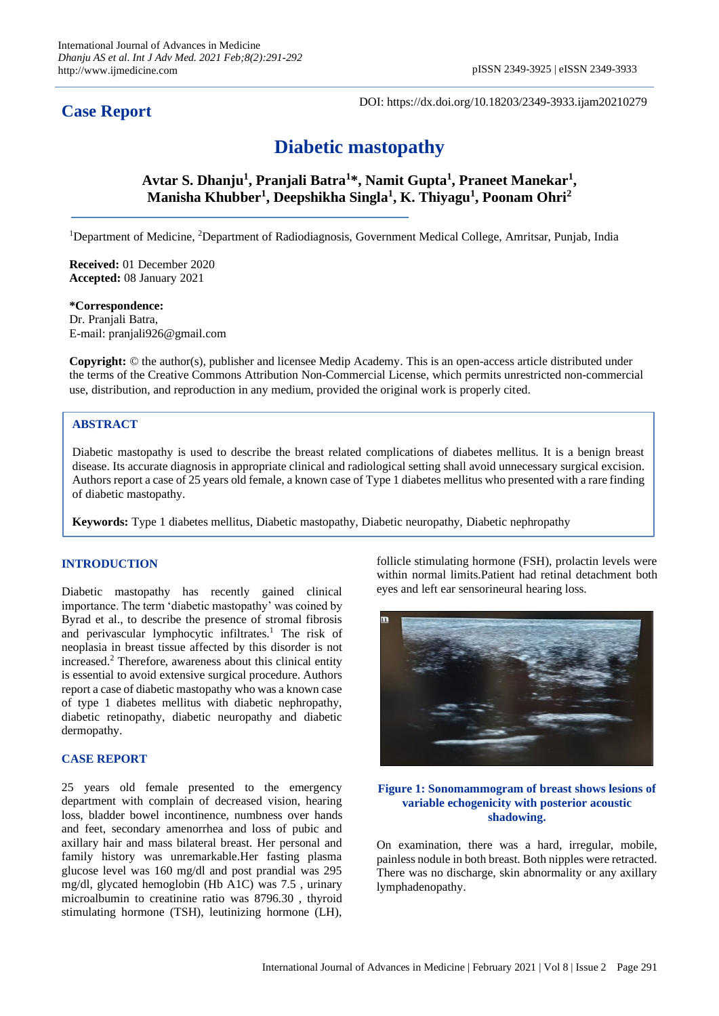## **Case Report**

DOI: https://dx.doi.org/10.18203/2349-3933.ijam20210279

# **Diabetic mastopathy**

**Avtar S. Dhanju<sup>1</sup> , Pranjali Batra<sup>1</sup> \*, Namit Gupta<sup>1</sup> , Praneet Manekar<sup>1</sup> , Manisha Khubber<sup>1</sup> , Deepshikha Singla<sup>1</sup> , K. Thiyagu<sup>1</sup> , Poonam Ohri<sup>2</sup>**

<sup>1</sup>Department of Medicine, <sup>2</sup>Department of Radiodiagnosis, Government Medical College, Amritsar, Punjab, India

**Received:** 01 December 2020 **Accepted:** 08 January 2021

**\*Correspondence:** Dr. Pranjali Batra, E-mail: pranjali926@gmail.com

**Copyright:** © the author(s), publisher and licensee Medip Academy. This is an open-access article distributed under the terms of the Creative Commons Attribution Non-Commercial License, which permits unrestricted non-commercial use, distribution, and reproduction in any medium, provided the original work is properly cited.

### **ABSTRACT**

Diabetic mastopathy is used to describe the breast related complications of diabetes mellitus. It is a benign breast disease. Its accurate diagnosis in appropriate clinical and radiological setting shall avoid unnecessary surgical excision. Authors report a case of 25 years old female, a known case of Type 1 diabetes mellitus who presented with a rare finding of diabetic mastopathy.

**Keywords:** Type 1 diabetes mellitus, Diabetic mastopathy, Diabetic neuropathy, Diabetic nephropathy

#### **INTRODUCTION**

Diabetic mastopathy has recently gained clinical importance. The term 'diabetic mastopathy' was coined by Byrad et al., to describe the presence of stromal fibrosis and perivascular lymphocytic infiltrates.<sup>1</sup> The risk of neoplasia in breast tissue affected by this disorder is not increased.<sup>2</sup> Therefore, awareness about this clinical entity is essential to avoid extensive surgical procedure. Authors report a case of diabetic mastopathy who was a known case of type 1 diabetes mellitus with diabetic nephropathy, diabetic retinopathy, diabetic neuropathy and diabetic dermopathy.

#### **CASE REPORT**

25 years old female presented to the emergency department with complain of decreased vision, hearing loss, bladder bowel incontinence, numbness over hands and feet, secondary amenorrhea and loss of pubic and axillary hair and mass bilateral breast. Her personal and family history was unremarkable.Her fasting plasma glucose level was 160 mg/dl and post prandial was 295 mg/dl, glycated hemoglobin (Hb A1C) was 7.5 , urinary microalbumin to creatinine ratio was 8796.30 , thyroid stimulating hormone (TSH), leutinizing hormone (LH),

follicle stimulating hormone (FSH), prolactin levels were within normal limits.Patient had retinal detachment both eyes and left ear sensorineural hearing loss.



#### **Figure 1: Sonomammogram of breast shows lesions of variable echogenicity with posterior acoustic shadowing.**

On examination, there was a hard, irregular, mobile, painless nodule in both breast. Both nipples were retracted. There was no discharge, skin abnormality or any axillary lymphadenopathy.